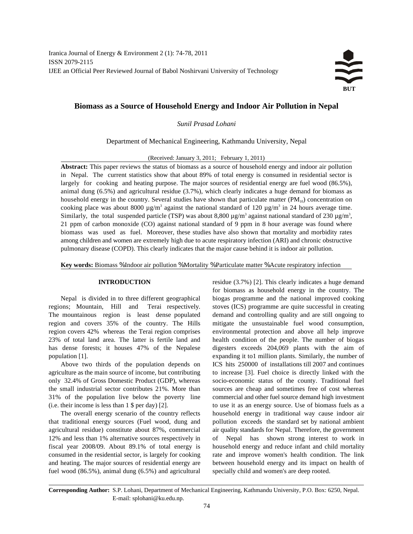Iranica Journal of Energy & Environment 2 (1): 74-78, 2011 ISSN 2079-2115 IJEE an Official Peer Reviewed Journal of Babol Noshirvani University of Technology



# **Biomass as a Source of Household Energy and Indoor Air Pollution in Nepal**

## *Sunil Prasad Lohani*

Department of Mechanical Engineering, Kathmandu University, Nepal

(Received: January 3, 2011; February 1, 2011)

**Abstract:** This paper reviews the status of biomass as a source of household energy and indoor air pollution in Nepal. The current statistics show that about 89% of total energy is consumed in residential sector is largely for cooking and heating purpose. The major sources of residential energy are fuel wood (86.5%), animal dung (6.5%) and agricultural residue (3.7%), which clearly indicates a huge demand for biomass as household energy in the country. Several studies have shown that particulate matter  $(PM_{10})$  concentration on cooking place was about 8000  $\mu$ g/m<sup>3</sup> against the national standard of 120  $\mu$ g/m<sup>3</sup> in 24 hours average time. Similarly, the total suspended particle (TSP) was about 8,800  $\mu$ g/m<sup>3</sup> against national standard of 230  $\mu$ g/m<sup>3</sup>, 21 ppm of carbon monoxide (CO) against national standard of 9 ppm in 8 hour average was found where biomass was used as fuel. Moreover, these studies have also shown that mortality and morbidity rates among children and women are extremely high due to acute respiratory infection (ARI) and chronic obstructive pulmonary disease (COPD). This clearly indicates that the major cause behind it is indoor air pollution.

**Key words:** Biomass % Indoor air pollution % Mortality % Particulate matter % Acute respiratory infection

regions; Mountain, Hill and Terai respectively. stoves (ICS) programme are quite successful in creating The mountainous region is least dense populated demand and controlling quality and are still ongoing to region and covers 35% of the country. The Hills mitigate the unsustainable fuel wood consumption, region covers 42% whereas the Terai region comprises environmental protection and above all help improve 23% of total land area. The latter is fertile land and health condition of the people. The number of biogas has dense forests; it houses 47% of the Nepalese digesters exceeds 204,069 plants with the aim of

agriculture as the main source of income, but contributing to increase [3]. Fuel choice is directly linked with the only 32.4% of Gross Domestic Product (GDP), whereas socio-economic status of the county. Traditional fuel the small industrial sector contributes 21%. More than sources are cheap and sometimes free of cost whereas 31% of the population live below the poverty line commercial and other fuel source demand high investment (i.e. their income is less than 1 \$ per day) [2]. to use it as an energy source. Use of biomass fuels as a

that traditional energy sources (Fuel wood, dung and pollution exceeds the standard set by national ambient agricultural residue) constitute about 87%, commercial air quality standards for Nepal. Therefore, the government 12% and less than 1% alternative sources respectively in of Nepal has shown strong interest to work in fiscal year 2008/09. About 89.1% of total energy is household energy and reduce infant and child mortality consumed in the residential sector, is largely for cooking rate and improve women's health condition. The link and heating. The major sources of residential energy are between household energy and its impact on health of fuel wood (86.5%), animal dung (6.5%) and agricultural specially child and women's are deep rooted.

**INTRODUCTION** residue (3.7%) [2]. This clearly indicates a huge demand Nepal is divided in to three different geographical biogas programme and the national improved cooking population [1]. expanding it to1 million plants. Similarly, the number of Above two thirds of the population depends on ICS hits 250000 of installations till 2007 and continues The overall energy scenario of the country reflects household energy in traditional way cause indoor air for biomass as household energy in the country. The

**Corresponding Author:** S.P. Lohani, Department of Mechanical Engineering, Kathmandu University, P.O. Box: 6250, Nepal. E-mail: splohani@ku.edu.np.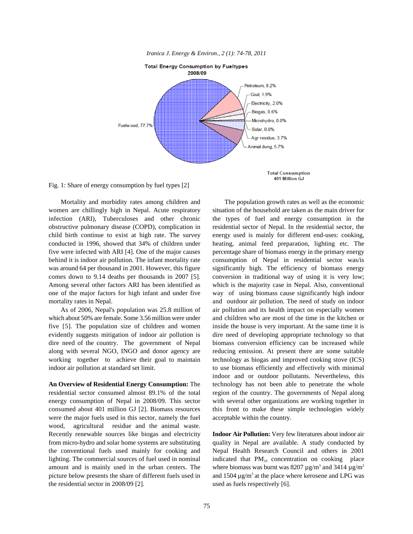

*Iranica J. Energy & Environ., 2 (1): 74-78, 2011*

Fig. 1: Share of energy consumption by fuel types [2]

women are chillingly high in Nepal. Acute respiratory situation of the household are taken as the main driver for infection (ARI), Tuberculoses and other chronic the types of fuel and energy consumption in the obstructive pulmonary disease (COPD), complication in residential sector of Nepal. In the residential sector, the child birth continue to exist at high rate. The survey energy used is mainly for different end-uses: cooking, conducted in 1996, showed that 34% of children under heating, animal feed preparation, lighting etc. The five were infected with ARI [4]. One of the major causes percentage share of biomass energy in the primary energy behind it is indoor air pollution. The infant mortality rate consumption of Nepal in residential sector was/is was around 64 per thousand in 2001. However, this figure significantly high. The efficiency of biomass energy comes down to 9.14 deaths per thousands in 2007 [5]. conversion in traditional way of using it is very low; Among several other factors ARI has been identified as which is the majority case in Nepal. Also, conventional one of the major factors for high infant and under five way of using biomass cause significantly high indoor mortality rates in Nepal. **and outdoor air pollution**. The need of study on indoor

which about 50% are female. Some 3.56 million were under and children who are most of the time in the kitchen or five [5]. The population size of children and women inside the house is very important. At the same time it is evidently suggests mitigation of indoor air pollution is dire need of developing appropriate technology so that dire need of the country. The government of Nepal biomass conversion efficiency can be increased while along with several NGO, INGO and donor agency are reducing emission. At present there are some suitable working together to achieve their goal to maintain technology as biogas and improved cooking stove (ICS) indoor air pollution at standard set limit. to use biomass efficiently and effectively with minimal

**An Overview of Residential Energy Consumption:** The technology has not been able to penetrate the whole residential sector consumed almost 89.1% of the total region of the country. The governments of Nepal along energy consumption of Nepal in 2008/09. This sector with several other organizations are working together in consumed about 401 million GJ [2]. Biomass resources this front to make these simple technologies widely were the major fuels used in this sector, namely the fuel acceptable within the country. wood, agricultural residue and the animal waste. Recently renewable sources like biogas and electricity **Indoor Air Pollution:** Very few literatures about indoor air from micro-hydro and solar home systems are substituting quality in Nepal are available. A study conducted by the conventional fuels used mainly for cooking and Nepal Health Research Council and others in 2001 lighting. The commercial sources of fuel used in nominal indicated that  $PM_{10}$  concentration on cooking place amount and is mainly used in the urban centers. The picture below presents the share of different fuels used in and  $1504 \mu g/m<sup>3</sup>$  at the place where kerosene and LPG was the residential sector in 2008/09 [2]. used as fuels respectively [6].

Mortality and morbidity rates among children and The population growth rates as well as the economic As of 2006, Nepal's population was 25.8 million of air pollution and its health impact on especially women indoor and or outdoor pollutants. Nevertheless, this

where biomass was burnt was 8207  $\mu$ g/m<sup>3</sup> and 3414  $\mu$ g/m<sup>3</sup>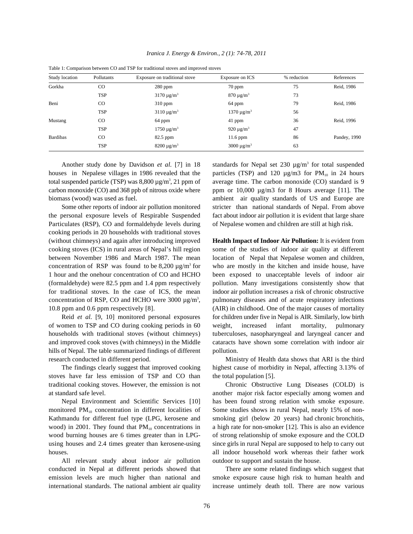| Study location  | Pollutants    | Exposure on traditional stove | Exposure on ICS             | % reduction | References   |
|-----------------|---------------|-------------------------------|-----------------------------|-------------|--------------|
| Gorkha          | CO            | $280$ ppm                     | $70$ ppm                    | 75          | Reid, 1986   |
|                 | <b>TSP</b>    | $3170 \mu g/m^3$              | $870 \mu g/m^3$             | 73          |              |
| Beni            | <sub>CO</sub> | $310$ ppm                     | 64 ppm                      | 79          | Reid, 1986   |
|                 | <b>TSP</b>    | $3110 \mu g/m^3$              | $1370 \mu g/m^3$            | 56          |              |
| Mustang         | $_{\rm CO}$   | 64 ppm                        | 41 ppm                      | 36          | Reid, 1996   |
|                 | <b>TSP</b>    | $1750 \mu g/m^3$              | 920 $\mu$ g/m <sup>3</sup>  | 47          |              |
| <b>Bardibas</b> | $_{\rm CO}$   | 82.5 ppm                      | $11.6$ ppm                  | 86          | Pandey, 1990 |
|                 | <b>TSP</b>    | $8200 \mu g/m^3$              | 3000 $\mu$ g/m <sup>3</sup> | 63          |              |

*Iranica J. Energy & Environ., 2 (1): 74-78, 2011*

| Table 1: Comparison between CO and TSP for traditional stoves and improved stoves |  |  |  |  |
|-----------------------------------------------------------------------------------|--|--|--|--|
|-----------------------------------------------------------------------------------|--|--|--|--|

houses in Nepalese villages in 1986 revealed that the particles (TSP) and 120  $\mu$ g/m3 for PM<sub>10</sub> in 24 hours total suspended particle (TSP) was 8,800  $\mu$ g/m<sup>3</sup>, 21 ppm of carbon monoxide (CO) and 368 ppb of nitrous oxide where ppm or 10,000 µg/m3 for 8 Hours average [11]. The biomass (wood) was used as fuel. **ambient** air quality standards of US and Europe are

the personal exposure levels of Respirable Suspended fact about indoor air pollution it is evident that large share Particulates (RSP), CO and formaldehyde levels during of Nepalese women and children are still at high risk. cooking periods in 20 households with traditional stoves (without chimneys) and again after introducing improved **Health Impact of Indoor Air Pollution:** It is evident from cooking stoves (ICS) in rural areas of Nepal's hill region some of the studies of indoor air quality at different between November 1986 and March 1987. The mean location of Nepal that Nepalese women and children, concentration of RSP was found to be  $8,200 \mu g/m^3$  for 1 hour and the onehour concentration of CO and HCHO been exposed to unacceptable levels of indoor air (formaldehyde) were 82.5 ppm and 1.4 ppm respectively pollution. Many investigations consistently show that for traditional stoves. In the case of ICS, the mean indoor air pollution increases a risk of chronic obstructive concentration of RSP, CO and HCHO were 3000  $\mu$ g/m<sup>3</sup>, 10.8 ppm and 0.6 ppm respectively [8]. (AIR) in childhood. One of the major causes of mortality

of women to TSP and CO during cooking periods in 60 weight, increased infant mortality, pulmonary households with traditional stoves (without chimneys) tuberculoses, nasopharyngeal and laryngeal cancer and and improved cook stoves (with chimneys) in the Middle cataracts have shown some correlation with indoor air hills of Nepal. The table summarized findings of different pollution. research conducted in different period. Ministry of Health data shows that ARI is the third

stoves have far less emission of TSP and CO than the total population [5].

monitored  $PM_{10}$  concentration in different localities of Some studies shows in rural Nepal, nearly 15% of non-Kathmandu for different fuel type (LPG, kerosene and smoking girl (below 20 years) had chronic bronchitis, wood) in 2001. They found that  $PM_{10}$  concentrations in a high rate for non-smoker [12]. This is also an evidence wood burning houses are 6 times greater than in LPG- of strong relationship of smoke exposure and the COLD using houses and 2.4 times greater than kerosene-using since girls in rural Nepal are supposed to help to carry out houses. all indoor household work whereas their father work

All relevant study about indoor air pollution outdoor to support and sustain the house. conducted in Nepal at different periods showed that There are some related findings which suggest that emission levels are much higher than national and smoke exposure cause high risk to human health and international standards. The national ambient air quality increase untimely death toll. There are now various

Another study done by Davidson *et al.* [7] in 18 standards for Nepal set 230  $\mu$ g/m<sup>3</sup> for total suspended average time. The carbon monoxide (CO) standard is 9 Some other reports of indoor air pollution monitored stricter than national standards of Nepal. From above

who are mostly in the kitchen and inside house, have pulmonary diseases and of acute respiratory infections Reid *et al.* [9, 10] monitored personal exposures for children under five in Nepal is AIR. Similarly, low birth

The findings clearly suggest that improved cooking highest cause of morbidity in Nepal, affecting 3.13% of

traditional cooking stoves. However, the emission is not Chronic Obstructive Lung Diseases (COLD) is at standard safe level. another major risk factor especially among women and Nepal Environment and Scientific Services [10] has been found strong relation with smoke exposure.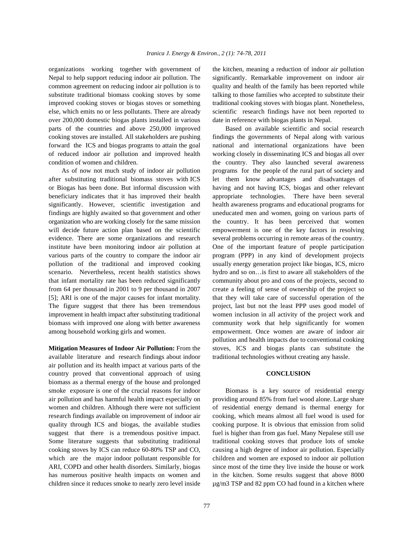Nepal to help support reducing indoor air pollution. The significantly. Remarkable improvement on indoor air common agreement on reducing indoor air pollution is to quality and health of the family has been reported while substitute traditional biomass cooking stoves by some talking to those families who accepted to substitute their improved cooking stoves or biogas stoves or something traditional cooking stoves with biogas plant. Nonetheless, else, which emits no or less pollutants. There are already scientific research findings have not been reported to over 200,000 domestic biogas plants installed in various date in reference with biogas plants in Nepal. parts of the countries and above 250,000 improved Based on available scientific and social research cooking stoves are installed. All stakeholders are pushing findings the governments of Nepal along with various forward the ICS and biogas programs to attain the goal national and international organizations have been of reduced indoor air pollution and improved health working closely in disseminating ICS and biogas all over condition of women and children. They country. They also launched several awareness

after substituting traditional biomass stoves with ICS let them know advantages and disadvantages of or Biogas has been done. But informal discussion with having and not having ICS, biogas and other relevant beneficiary indicates that it has improved their health appropriate technologies. There have been several significantly. However, scientific investigation and health awareness programs and educational programs for findings are highly awaited so that government and other uneducated men and women, going on various parts of organization who are working closely for the same mission the country. It has been perceived that women will decide future action plan based on the scientific empowerment is one of the key factors in resolving evidence. There are some organizations and research several problems occurring in remote areas of the country. institute have been monitoring indoor air pollution at One of the important feature of people participation various parts of the country to compare the indoor air program (PPP) in any kind of development projects pollution of the traditional and improved cooking usually energy generation project like biogas, ICS, micro scenario. Nevertheless, recent health statistics shows hydro and so on... is first to aware all stakeholders of the that infant mortality rate has been reduced significantly community about pro and cons of the projects, second to from 64 per thousand in 2001 to 9 per thousand in 2007 create a feeling of sense of ownership of the project so [5]; ARI is one of the major causes for infant mortality. that they will take care of successful operation of the The figure suggest that there has been tremendous project, last but not the least PPP uses good model of improvement in health impact after substituting traditional women inclusion in all activity of the project work and biomass with improved one along with better awareness community work that help significantly for women

available literature and research findings about indoor traditional technologies without creating any hassle. air pollution and its health impact at various parts of the country proved that conventional approach of using **CONCLUSION** biomass as a thermal energy of the house and prolonged smoke exposure is one of the crucial reasons for indoor Biomass is a key source of residential energy air pollution and has harmful health impact especially on providing around 85% from fuel wood alone. Large share women and children. Although there were not sufficient of residential energy demand is thermal energy for research findings available on improvement of indoor air cooking, which means almost all fuel wood is used for quality through ICS and biogas, the available studies cooking purpose. It is obvious that emission from solid suggest that there is a tremendous positive impact. fuel is higher than from gas fuel. Many Nepalese still use Some literature suggests that substituting traditional traditional cooking stoves that produce lots of smoke cooking stoves by ICS can reduce 60-80% TSP and CO, causing a high degree of indoor air pollution. Especially which are the major indoor pollutant responsible for children and women are exposed to indoor air pollution ARI, COPD and other health disorders. Similarly, biogas since most of the time they live inside the house or work has numerous positive health impacts on women and in the kitchen. Some results suggest that above 8000 children since it reduces smoke to nearly zero level inside  $\mu$ g/m3 TSP and 82 ppm CO had found in a kitchen where

organizations working together with government of the kitchen, meaning a reduction of indoor air pollution

As of now not much study of indoor air pollution programs for the people of the rural part of society and among household working girls and women. empowerment. Once women are aware of indoor air **Mitigation Measures of Indoor Air Pollution:** From the stoves, ICS and biogas plants can substitute the pollution and health impacts due to conventional cooking